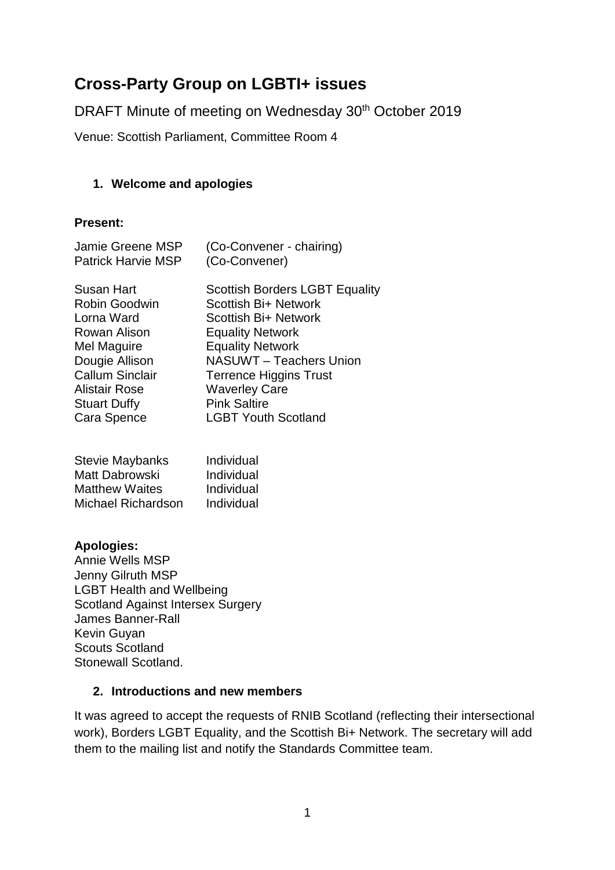# **Cross-Party Group on LGBTI+ issues**

DRAFT Minute of meeting on Wednesday 30<sup>th</sup> October 2019

Venue: Scottish Parliament, Committee Room 4

# **1. Welcome and apologies**

## **Present:**

| <b>Jamie Greene MSP</b>   | (Co-Convener - chairing)              |
|---------------------------|---------------------------------------|
| <b>Patrick Harvie MSP</b> | (Co-Convener)                         |
| Susan Hart                | <b>Scottish Borders LGBT Equality</b> |
| Robin Goodwin             | Scottish Bi+ Network                  |
| Lorna Ward                | Scottish Bi+ Network                  |
| Rowan Alison              | <b>Equality Network</b>               |
| Mel Maguire               | <b>Equality Network</b>               |
| Dougie Allison            | NASUWT - Teachers Union               |
| <b>Callum Sinclair</b>    | <b>Terrence Higgins Trust</b>         |
| Alistair Rose             | <b>Waverley Care</b>                  |
| <b>Stuart Duffy</b>       | <b>Pink Saltire</b>                   |
| Cara Spence               | <b>LGBT Youth Scotland</b>            |

| <b>Stevie Maybanks</b> | Individual |
|------------------------|------------|
| Matt Dabrowski         | Individual |
| <b>Matthew Waites</b>  | Individual |
| Michael Richardson     | Individual |

## **Apologies:**

Annie Wells MSP Jenny Gilruth MSP LGBT Health and Wellbeing Scotland Against Intersex Surgery James Banner-Rall Kevin Guyan Scouts Scotland Stonewall Scotland.

#### **2. Introductions and new members**

It was agreed to accept the requests of RNIB Scotland (reflecting their intersectional work), Borders LGBT Equality, and the Scottish Bi+ Network. The secretary will add them to the mailing list and notify the Standards Committee team.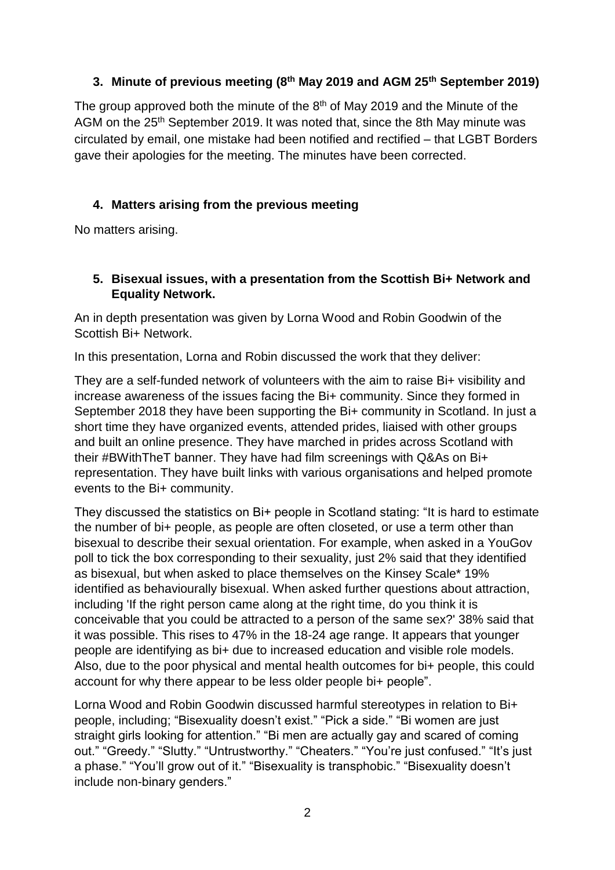# **3. Minute of previous meeting (8 th May 2019 and AGM 25th September 2019)**

The group approved both the minute of the  $8<sup>th</sup>$  of May 2019 and the Minute of the AGM on the 25<sup>th</sup> September 2019. It was noted that, since the 8th May minute was circulated by email, one mistake had been notified and rectified – that LGBT Borders gave their apologies for the meeting. The minutes have been corrected.

# **4. Matters arising from the previous meeting**

No matters arising.

## **5. Bisexual issues, with a presentation from the Scottish Bi+ Network and Equality Network.**

An in depth presentation was given by Lorna Wood and Robin Goodwin of the Scottish Bi+ Network.

In this presentation, Lorna and Robin discussed the work that they deliver:

They are a self-funded network of volunteers with the aim to raise Bi+ visibility and increase awareness of the issues facing the Bi+ community. Since they formed in September 2018 they have been supporting the Bi+ community in Scotland. In just a short time they have organized events, attended prides, liaised with other groups and built an online presence. They have marched in prides across Scotland with their #BWithTheT banner. They have had film screenings with Q&As on Bi+ representation. They have built links with various organisations and helped promote events to the Bi+ community.

They discussed the statistics on Bi+ people in Scotland stating: "It is hard to estimate the number of bi+ people, as people are often closeted, or use a term other than bisexual to describe their sexual orientation. For example, when asked in a YouGov poll to tick the box corresponding to their sexuality, just 2% said that they identified as bisexual, but when asked to place themselves on the Kinsey Scale\* 19% identified as behaviourally bisexual. When asked further questions about attraction, including 'If the right person came along at the right time, do you think it is conceivable that you could be attracted to a person of the same sex?' 38% said that it was possible. This rises to 47% in the 18-24 age range. It appears that younger people are identifying as bi+ due to increased education and visible role models. Also, due to the poor physical and mental health outcomes for bi+ people, this could account for why there appear to be less older people bi+ people".

Lorna Wood and Robin Goodwin discussed harmful stereotypes in relation to Bi+ people, including; "Bisexuality doesn't exist." "Pick a side." "Bi women are just straight girls looking for attention." "Bi men are actually gay and scared of coming out." "Greedy." "Slutty." "Untrustworthy." "Cheaters." "You're just confused." "It's just a phase." "You'll grow out of it." "Bisexuality is transphobic." "Bisexuality doesn't include non-binary genders."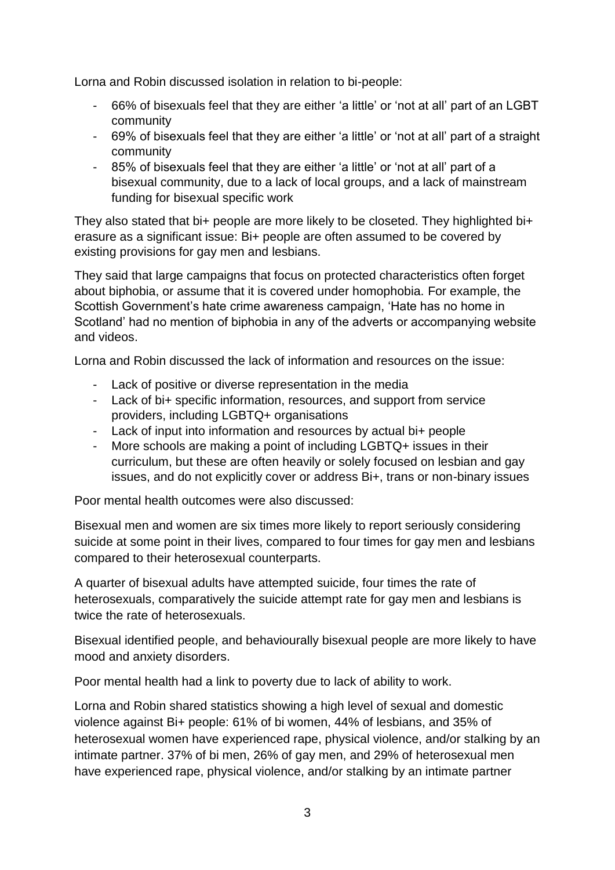Lorna and Robin discussed isolation in relation to bi-people:

- 66% of bisexuals feel that they are either 'a little' or 'not at all' part of an LGBT community
- 69% of bisexuals feel that they are either 'a little' or 'not at all' part of a straight community
- 85% of bisexuals feel that they are either 'a little' or 'not at all' part of a bisexual community, due to a lack of local groups, and a lack of mainstream funding for bisexual specific work

They also stated that bi+ people are more likely to be closeted. They highlighted bi+ erasure as a significant issue: Bi+ people are often assumed to be covered by existing provisions for gay men and lesbians.

They said that large campaigns that focus on protected characteristics often forget about biphobia, or assume that it is covered under homophobia. For example, the Scottish Government's hate crime awareness campaign, 'Hate has no home in Scotland' had no mention of biphobia in any of the adverts or accompanying website and videos.

Lorna and Robin discussed the lack of information and resources on the issue:

- Lack of positive or diverse representation in the media
- Lack of bi+ specific information, resources, and support from service providers, including LGBTQ+ organisations
- Lack of input into information and resources by actual bi+ people
- More schools are making a point of including LGBTQ+ issues in their curriculum, but these are often heavily or solely focused on lesbian and gay issues, and do not explicitly cover or address Bi+, trans or non-binary issues

Poor mental health outcomes were also discussed:

Bisexual men and women are six times more likely to report seriously considering suicide at some point in their lives, compared to four times for gay men and lesbians compared to their heterosexual counterparts.

A quarter of bisexual adults have attempted suicide, four times the rate of heterosexuals, comparatively the suicide attempt rate for gay men and lesbians is twice the rate of heterosexuals.

Bisexual identified people, and behaviourally bisexual people are more likely to have mood and anxiety disorders.

Poor mental health had a link to poverty due to lack of ability to work.

Lorna and Robin shared statistics showing a high level of sexual and domestic violence against Bi+ people: 61% of bi women, 44% of lesbians, and 35% of heterosexual women have experienced rape, physical violence, and/or stalking by an intimate partner. 37% of bi men, 26% of gay men, and 29% of heterosexual men have experienced rape, physical violence, and/or stalking by an intimate partner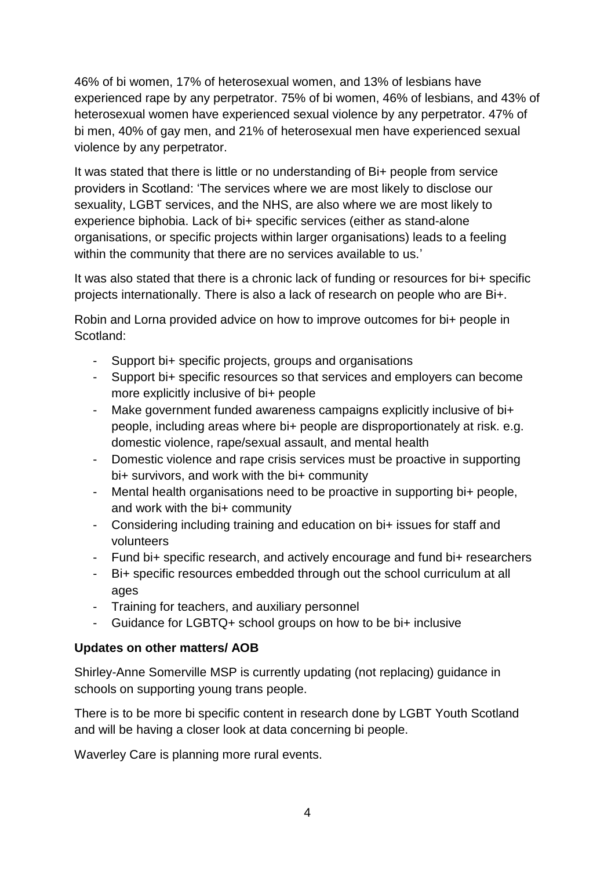46% of bi women, 17% of heterosexual women, and 13% of lesbians have experienced rape by any perpetrator. 75% of bi women, 46% of lesbians, and 43% of heterosexual women have experienced sexual violence by any perpetrator. 47% of bi men, 40% of gay men, and 21% of heterosexual men have experienced sexual violence by any perpetrator.

It was stated that there is little or no understanding of Bi+ people from service providers in Scotland: 'The services where we are most likely to disclose our sexuality, LGBT services, and the NHS, are also where we are most likely to experience biphobia. Lack of bi+ specific services (either as stand-alone organisations, or specific projects within larger organisations) leads to a feeling within the community that there are no services available to us.'

It was also stated that there is a chronic lack of funding or resources for bi+ specific projects internationally. There is also a lack of research on people who are Bi+.

Robin and Lorna provided advice on how to improve outcomes for bi+ people in Scotland:

- Support bi+ specific projects, groups and organisations
- Support bi+ specific resources so that services and employers can become more explicitly inclusive of bi+ people
- Make government funded awareness campaigns explicitly inclusive of bi+ people, including areas where bi+ people are disproportionately at risk. e.g. domestic violence, rape/sexual assault, and mental health
- Domestic violence and rape crisis services must be proactive in supporting bi+ survivors, and work with the bi+ community
- Mental health organisations need to be proactive in supporting bi+ people, and work with the bi+ community
- Considering including training and education on bi+ issues for staff and volunteers
- Fund bi+ specific research, and actively encourage and fund bi+ researchers
- Bi+ specific resources embedded through out the school curriculum at all ages
- Training for teachers, and auxiliary personnel
- Guidance for LGBTQ+ school groups on how to be bi+ inclusive

## **Updates on other matters/ AOB**

Shirley-Anne Somerville MSP is currently updating (not replacing) guidance in schools on supporting young trans people.

There is to be more bi specific content in research done by LGBT Youth Scotland and will be having a closer look at data concerning bi people.

Waverley Care is planning more rural events.